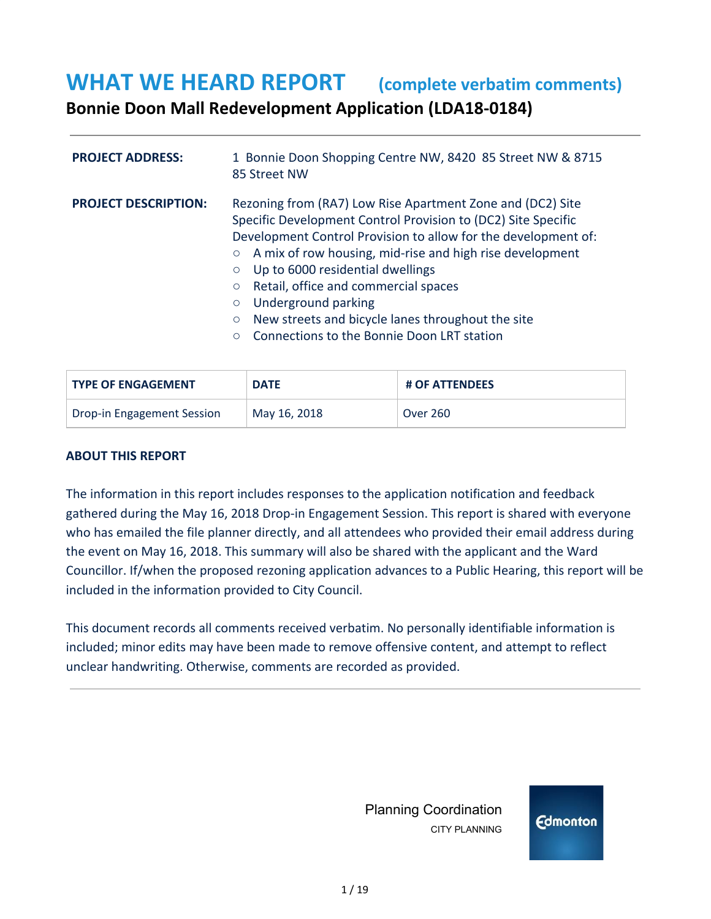#### **WHAT WE HEARD REPORT (complete verbatim comments)**

**Bonnie Doon Mall Redevelopment Application (LDA18-0184)**

| <b>PROJECT ADDRESS:</b>     | 1 Bonnie Doon Shopping Centre NW, 8420 85 Street NW & 8715<br>85 Street NW                                                                                                                                                                                                                                                                                                                                                                                                                                                        |  |
|-----------------------------|-----------------------------------------------------------------------------------------------------------------------------------------------------------------------------------------------------------------------------------------------------------------------------------------------------------------------------------------------------------------------------------------------------------------------------------------------------------------------------------------------------------------------------------|--|
| <b>PROJECT DESCRIPTION:</b> | Rezoning from (RA7) Low Rise Apartment Zone and (DC2) Site<br>Specific Development Control Provision to (DC2) Site Specific<br>Development Control Provision to allow for the development of:<br>A mix of row housing, mid-rise and high rise development<br>$\circ$<br>Up to 6000 residential dwellings<br>$\circ$<br>Retail, office and commercial spaces<br>$\circ$<br>Underground parking<br>$\circ$<br>New streets and bicycle lanes throughout the site<br>$\circ$<br>Connections to the Bonnie Doon LRT station<br>$\circ$ |  |

| <b>TYPE OF ENGAGEMENT</b>  | <b>DATE</b>  | <b># OF ATTENDEES</b> |
|----------------------------|--------------|-----------------------|
| Drop-in Engagement Session | May 16, 2018 | <b>Over 260</b>       |

#### **ABOUT THIS REPORT**

The information in this report includes responses to the application notification and feedback gathered during the May 16, 2018 Drop-in Engagement Session. This report is shared with everyone who has emailed the file planner directly, and all attendees who provided their email address during the event on May 16, 2018. This summary will also be shared with the applicant and the Ward Councillor. If/when the proposed rezoning application advances to a Public Hearing, this report will be included in the information provided to City Council.

This document records all comments received verbatim. No personally identifiable information is included; minor edits may have been made to remove offensive content, and attempt to reflect unclear handwriting. Otherwise, comments are recorded as provided.

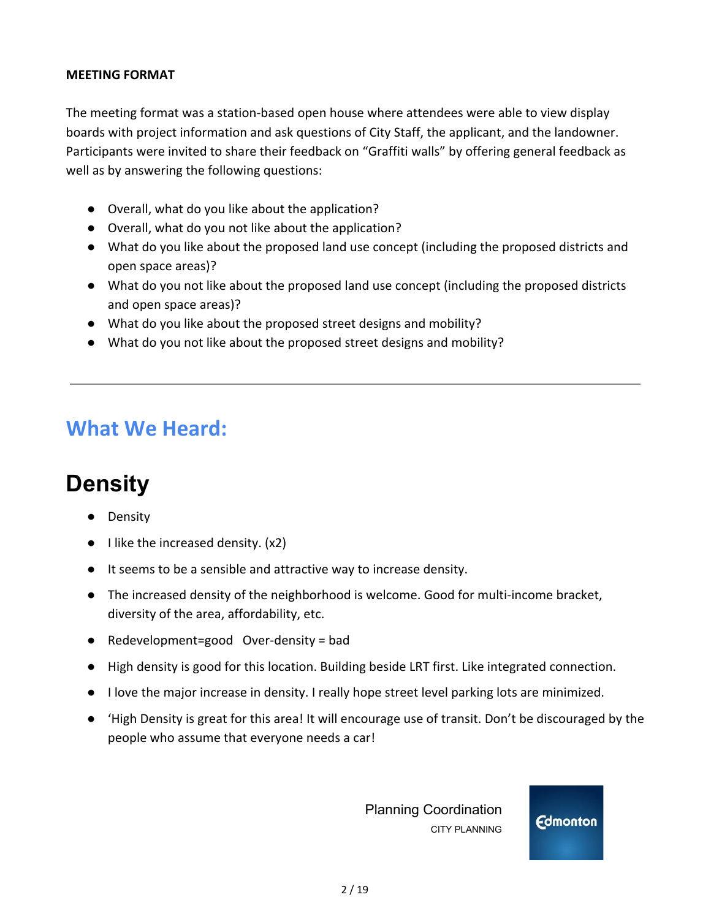#### **MEETING FORMAT**

The meeting format was a station-based open house where attendees were able to view display boards with project information and ask questions of City Staff, the applicant, and the landowner. Participants were invited to share their feedback on "Graffiti walls" by offering general feedback as well as by answering the following questions:

- Overall, what do you like about the application?
- Overall, what do you not like about the application?
- What do you like about the proposed land use concept (including the proposed districts and open space areas)?
- What do you not like about the proposed land use concept (including the proposed districts and open space areas)?
- What do you like about the proposed street designs and mobility?
- What do you not like about the proposed street designs and mobility?

#### **What We Heard:**

## **Density**

- **Density**
- $\bullet$  I like the increased density. (x2)
- It seems to be a sensible and attractive way to increase density.
- The increased density of the neighborhood is welcome. Good for multi-income bracket, diversity of the area, affordability, etc.
- Redevelopment=good Over-density = bad
- High density is good for this location. Building beside LRT first. Like integrated connection.
- I love the major increase in density. I really hope street level parking lots are minimized.
- 'High Density is great for this area! It will encourage use of transit. Don't be discouraged by the people who assume that everyone needs a car!

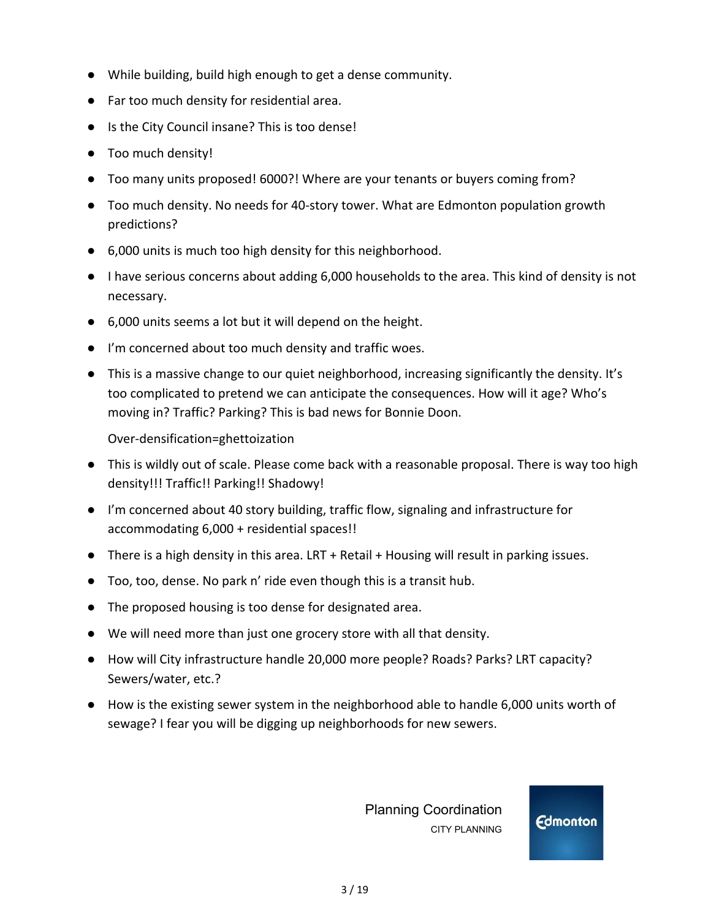- While building, build high enough to get a dense community.
- Far too much density for residential area.
- Is the City Council insane? This is too dense!
- Too much density!
- Too many units proposed! 6000?! Where are your tenants or buyers coming from?
- Too much density. No needs for 40-story tower. What are Edmonton population growth predictions?
- 6,000 units is much too high density for this neighborhood.
- I have serious concerns about adding 6,000 households to the area. This kind of density is not necessary.
- 6,000 units seems a lot but it will depend on the height.
- I'm concerned about too much density and traffic woes.
- This is a massive change to our quiet neighborhood, increasing significantly the density. It's too complicated to pretend we can anticipate the consequences. How will it age? Who's moving in? Traffic? Parking? This is bad news for Bonnie Doon.

Over-densification=ghettoization

- This is wildly out of scale. Please come back with a reasonable proposal. There is way too high density!!! Traffic!! Parking!! Shadowy!
- I'm concerned about 40 story building, traffic flow, signaling and infrastructure for accommodating 6,000 + residential spaces!!
- There is a high density in this area. LRT + Retail + Housing will result in parking issues.
- Too, too, dense. No park n' ride even though this is a transit hub.
- The proposed housing is too dense for designated area.
- We will need more than just one grocery store with all that density.
- How will City infrastructure handle 20,000 more people? Roads? Parks? LRT capacity? Sewers/water, etc.?
- How is the existing sewer system in the neighborhood able to handle 6,000 units worth of sewage? I fear you will be digging up neighborhoods for new sewers.

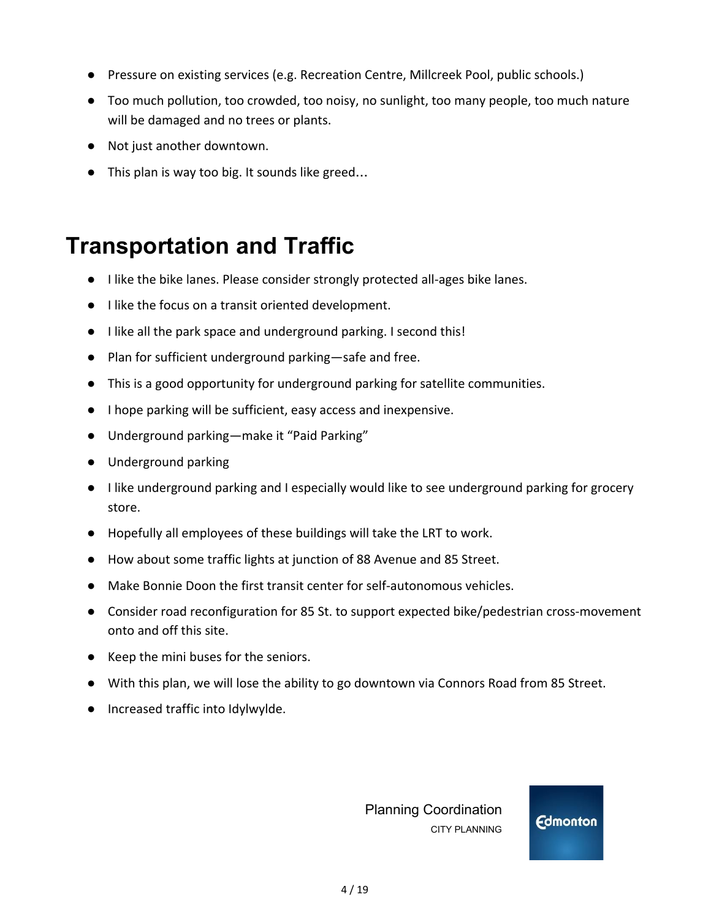- **●** Pressure on existing services (e.g. Recreation Centre, Millcreek Pool, public schools.)
- **●** Too much pollution, too crowded, too noisy, no sunlight, too many people, too much nature will be damaged and no trees or plants.
- **●** Not just another downtown.
- **●** This plan is way too big. It sounds like greed…

### **Transportation and Traffic**

- I like the bike lanes. Please consider strongly protected all-ages bike lanes.
- I like the focus on a transit oriented development.
- I like all the park space and underground parking. I second this!
- Plan for sufficient underground parking—safe and free.
- This is a good opportunity for underground parking for satellite communities.
- I hope parking will be sufficient, easy access and inexpensive.
- Underground parking—make it "Paid Parking"
- Underground parking
- I like underground parking and I especially would like to see underground parking for grocery store.
- Hopefully all employees of these buildings will take the LRT to work.
- How about some traffic lights at junction of 88 Avenue and 85 Street.
- Make Bonnie Doon the first transit center for self-autonomous vehicles.
- Consider road reconfiguration for 85 St. to support expected bike/pedestrian cross-movement onto and off this site.
- Keep the mini buses for the seniors.
- With this plan, we will lose the ability to go downtown via Connors Road from 85 Street.
- Increased traffic into Idylwylde.

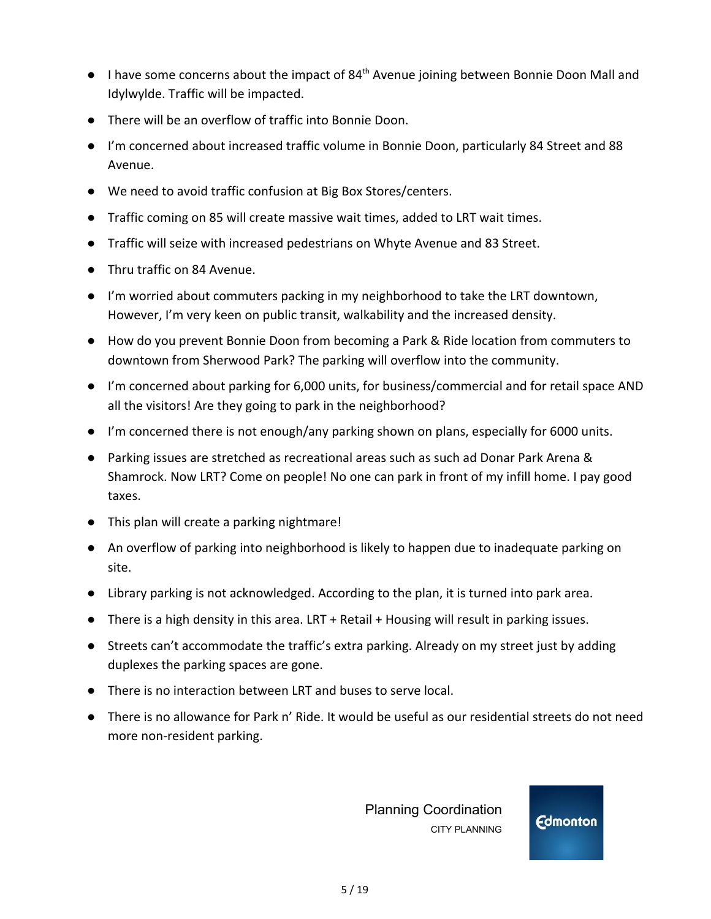- I have some concerns about the impact of 84<sup>th</sup> Avenue joining between Bonnie Doon Mall and Idylwylde. Traffic will be impacted.
- There will be an overflow of traffic into Bonnie Doon.
- I'm concerned about increased traffic volume in Bonnie Doon, particularly 84 Street and 88 Avenue.
- We need to avoid traffic confusion at Big Box Stores/centers.
- Traffic coming on 85 will create massive wait times, added to LRT wait times.
- Traffic will seize with increased pedestrians on Whyte Avenue and 83 Street.
- Thru traffic on 84 Avenue.
- I'm worried about commuters packing in my neighborhood to take the LRT downtown, However, I'm very keen on public transit, walkability and the increased density.
- How do you prevent Bonnie Doon from becoming a Park & Ride location from commuters to downtown from Sherwood Park? The parking will overflow into the community.
- I'm concerned about parking for 6,000 units, for business/commercial and for retail space AND all the visitors! Are they going to park in the neighborhood?
- I'm concerned there is not enough/any parking shown on plans, especially for 6000 units.
- Parking issues are stretched as recreational areas such as such ad Donar Park Arena & Shamrock. Now LRT? Come on people! No one can park in front of my infill home. I pay good taxes.
- This plan will create a parking nightmare!
- An overflow of parking into neighborhood is likely to happen due to inadequate parking on site.
- Library parking is not acknowledged. According to the plan, it is turned into park area.
- There is a high density in this area. LRT + Retail + Housing will result in parking issues.
- Streets can't accommodate the traffic's extra parking. Already on my street just by adding duplexes the parking spaces are gone.
- There is no interaction between LRT and buses to serve local.
- There is no allowance for Park n' Ride. It would be useful as our residential streets do not need more non-resident parking.

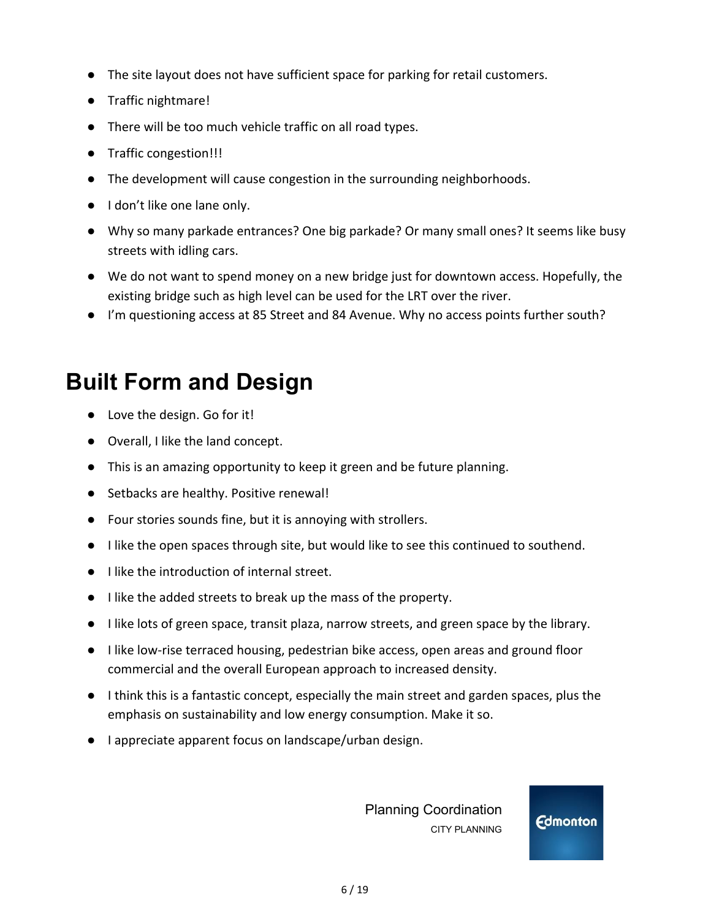- The site layout does not have sufficient space for parking for retail customers.
- Traffic nightmare!
- There will be too much vehicle traffic on all road types.
- Traffic congestion!!!
- The development will cause congestion in the surrounding neighborhoods.
- I don't like one lane only.
- Why so many parkade entrances? One big parkade? Or many small ones? It seems like busy streets with idling cars.
- We do not want to spend money on a new bridge just for downtown access. Hopefully, the existing bridge such as high level can be used for the LRT over the river.
- I'm questioning access at 85 Street and 84 Avenue. Why no access points further south?

## **Built Form and Design**

- Love the design. Go for it!
- Overall, I like the land concept.
- This is an amazing opportunity to keep it green and be future planning.
- Setbacks are healthy. Positive renewal!
- Four stories sounds fine, but it is annoying with strollers.
- I like the open spaces through site, but would like to see this continued to southend.
- I like the introduction of internal street.
- I like the added streets to break up the mass of the property.
- I like lots of green space, transit plaza, narrow streets, and green space by the library.
- I like low-rise terraced housing, pedestrian bike access, open areas and ground floor commercial and the overall European approach to increased density.
- I think this is a fantastic concept, especially the main street and garden spaces, plus the emphasis on sustainability and low energy consumption. Make it so.
- I appreciate apparent focus on landscape/urban design.

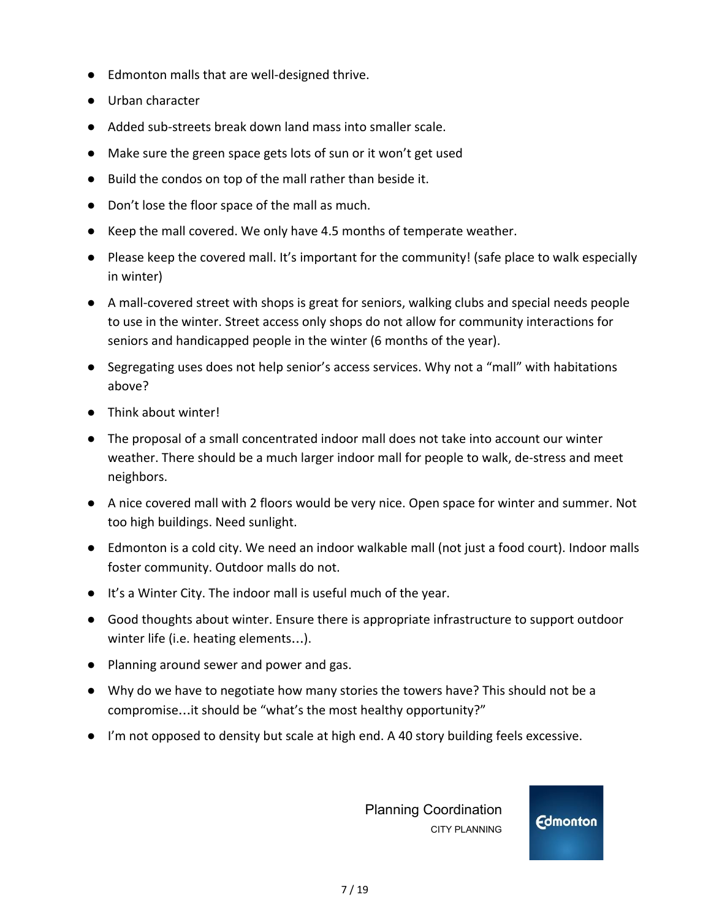- Edmonton malls that are well-designed thrive.
- Urban character
- Added sub-streets break down land mass into smaller scale.
- Make sure the green space gets lots of sun or it won't get used
- Build the condos on top of the mall rather than beside it.
- Don't lose the floor space of the mall as much.
- Keep the mall covered. We only have 4.5 months of temperate weather.
- **●** Please keep the covered mall. It's important for the community! (safe place to walk especially in winter)
- **●** A mall-covered street with shops is great for seniors, walking clubs and special needs people to use in the winter. Street access only shops do not allow for community interactions for seniors and handicapped people in the winter (6 months of the year).
- Segregating uses does not help senior's access services. Why not a "mall" with habitations above?
- **●** Think about winter!
- The proposal of a small concentrated indoor mall does not take into account our winter weather. There should be a much larger indoor mall for people to walk, de-stress and meet neighbors.
- A nice covered mall with 2 floors would be very nice. Open space for winter and summer. Not too high buildings. Need sunlight.
- Edmonton is a cold city. We need an indoor walkable mall (not just a food court). Indoor malls foster community. Outdoor malls do not.
- It's a Winter City. The indoor mall is useful much of the year.
- Good thoughts about winter. Ensure there is appropriate infrastructure to support outdoor winter life (i.e. heating elements…).
- Planning around sewer and power and gas.
- Why do we have to negotiate how many stories the towers have? This should not be a compromise…it should be "what's the most healthy opportunity?"
- I'm not opposed to density but scale at high end. A 40 story building feels excessive.

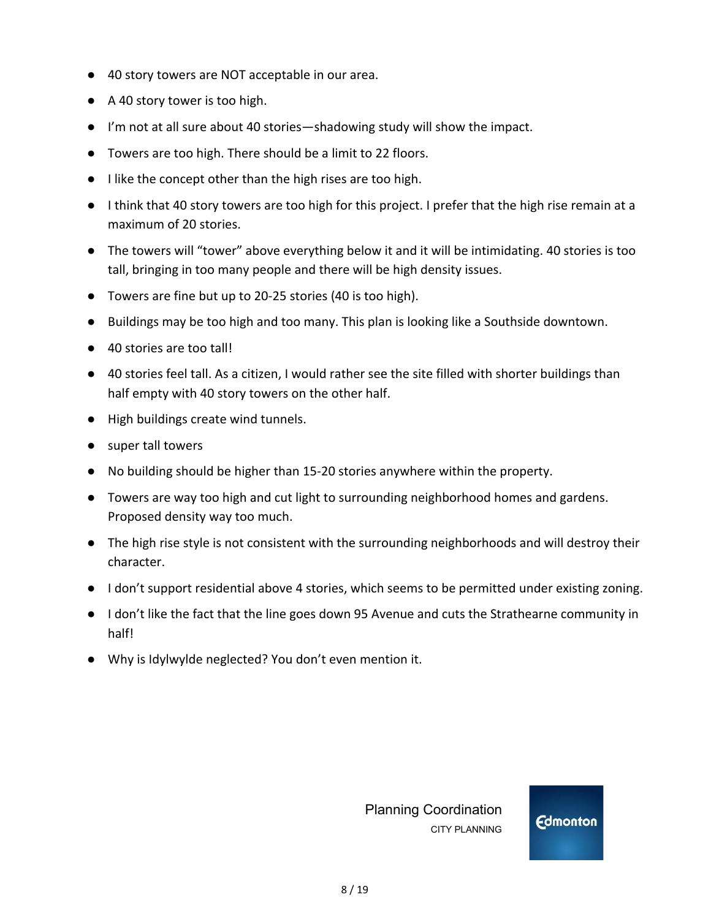- 40 story towers are NOT acceptable in our area.
- A 40 story tower is too high.
- I'm not at all sure about 40 stories—shadowing study will show the impact.
- Towers are too high. There should be a limit to 22 floors.
- I like the concept other than the high rises are too high.
- **●** I think that 40 story towers are too high for this project. I prefer that the high rise remain at a maximum of 20 stories.
- **●** The towers will "tower" above everything below it and it will be intimidating. 40 stories is too tall, bringing in too many people and there will be high density issues.
- Towers are fine but up to 20-25 stories (40 is too high).
- **●** Buildings may be too high and too many. This plan is looking like a Southside downtown.
- 40 stories are too tall!
- 40 stories feel tall. As a citizen, I would rather see the site filled with shorter buildings than half empty with 40 story towers on the other half.
- High buildings create wind tunnels.
- **●** super tall towers
- **●** No building should be higher than 15-20 stories anywhere within the property.
- **●** Towers are way too high and cut light to surrounding neighborhood homes and gardens. Proposed density way too much.
- **●** The high rise style is not consistent with the surrounding neighborhoods and will destroy their character.
- I don't support residential above 4 stories, which seems to be permitted under existing zoning.
- I don't like the fact that the line goes down 95 Avenue and cuts the Strathearne community in half!
- Why is Idylwylde neglected? You don't even mention it.

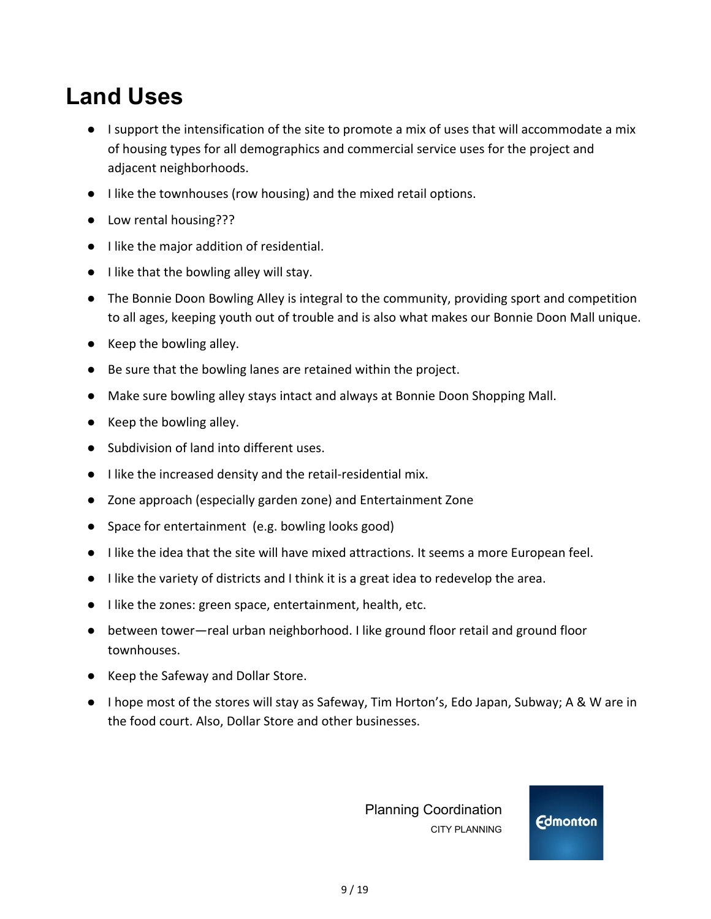## **Land Uses**

- I support the intensification of the site to promote a mix of uses that will accommodate a mix of housing types for all demographics and commercial service uses for the project and adjacent neighborhoods.
- I like the townhouses (row housing) and the mixed retail options.
- Low rental housing???
- I like the major addition of residential.
- I like that the bowling alley will stay.
- The Bonnie Doon Bowling Alley is integral to the community, providing sport and competition to all ages, keeping youth out of trouble and is also what makes our Bonnie Doon Mall unique.
- Keep the bowling alley.
- **●** Be sure that the bowling lanes are retained within the project.
- **●** Make sure bowling alley stays intact and always at Bonnie Doon Shopping Mall.
- Keep the bowling alley.
- Subdivision of land into different uses.
- I like the increased density and the retail-residential mix.
- Zone approach (especially garden zone) and Entertainment Zone
- Space for entertainment (e.g. bowling looks good)
- I like the idea that the site will have mixed attractions. It seems a more European feel.
- I like the variety of districts and I think it is a great idea to redevelop the area.
- I like the zones: green space, entertainment, health, etc.
- between tower—real urban neighborhood. I like ground floor retail and ground floor townhouses.
- Keep the Safeway and Dollar Store.
- I hope most of the stores will stay as Safeway, Tim Horton's, Edo Japan, Subway; A & W are in the food court. Also, Dollar Store and other businesses.

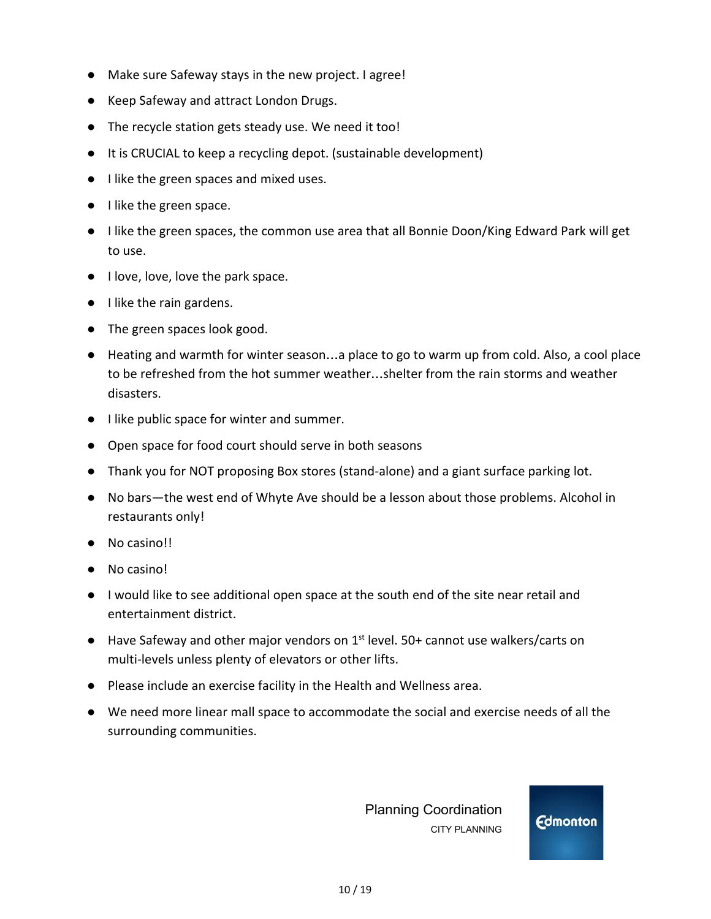- Make sure Safeway stays in the new project. I agree!
- Keep Safeway and attract London Drugs.
- The recycle station gets steady use. We need it too!
- It is CRUCIAL to keep a recycling depot. (sustainable development)
- I like the green spaces and mixed uses.
- I like the green space.
- I like the green spaces, the common use area that all Bonnie Doon/King Edward Park will get to use.
- I love, love, love the park space.
- I like the rain gardens.
- The green spaces look good.
- Heating and warmth for winter season...a place to go to warm up from cold. Also, a cool place to be refreshed from the hot summer weather…shelter from the rain storms and weather disasters.
- I like public space for winter and summer.
- Open space for food court should serve in both seasons
- Thank you for NOT proposing Box stores (stand-alone) and a giant surface parking lot.
- No bars—the west end of Whyte Ave should be a lesson about those problems. Alcohol in restaurants only!
- No casino!!
- No casino!
- **●** I would like to see additional open space at the south end of the site near retail and entertainment district.
- Have Safeway and other major vendors on 1<sup>st</sup> level. 50+ cannot use walkers/carts on multi-levels unless plenty of elevators or other lifts.
- **●** Please include an exercise facility in the Health and Wellness area.
- **●** We need more linear mall space to accommodate the social and exercise needs of all the surrounding communities.

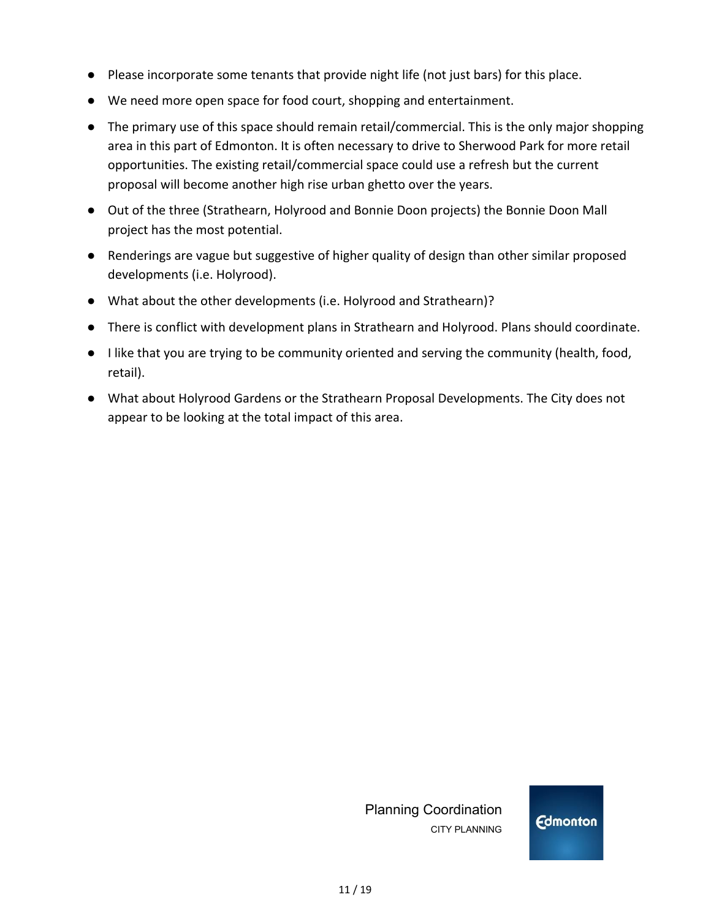- **●** Please incorporate some tenants that provide night life (not just bars) for this place.
- **●** We need more open space for food court, shopping and entertainment.
- **●** The primary use of this space should remain retail/commercial. This is the only major shopping area in this part of Edmonton. It is often necessary to drive to Sherwood Park for more retail opportunities. The existing retail/commercial space could use a refresh but the current proposal will become another high rise urban ghetto over the years.
- Out of the three (Strathearn, Holyrood and Bonnie Doon projects) the Bonnie Doon Mall project has the most potential.
- Renderings are vague but suggestive of higher quality of design than other similar proposed developments (i.e. Holyrood).
- What about the other developments (i.e. Holyrood and Strathearn)?
- There is conflict with development plans in Strathearn and Holyrood. Plans should coordinate.
- I like that you are trying to be community oriented and serving the community (health, food, retail).
- What about Holyrood Gardens or the Strathearn Proposal Developments. The City does not appear to be looking at the total impact of this area.

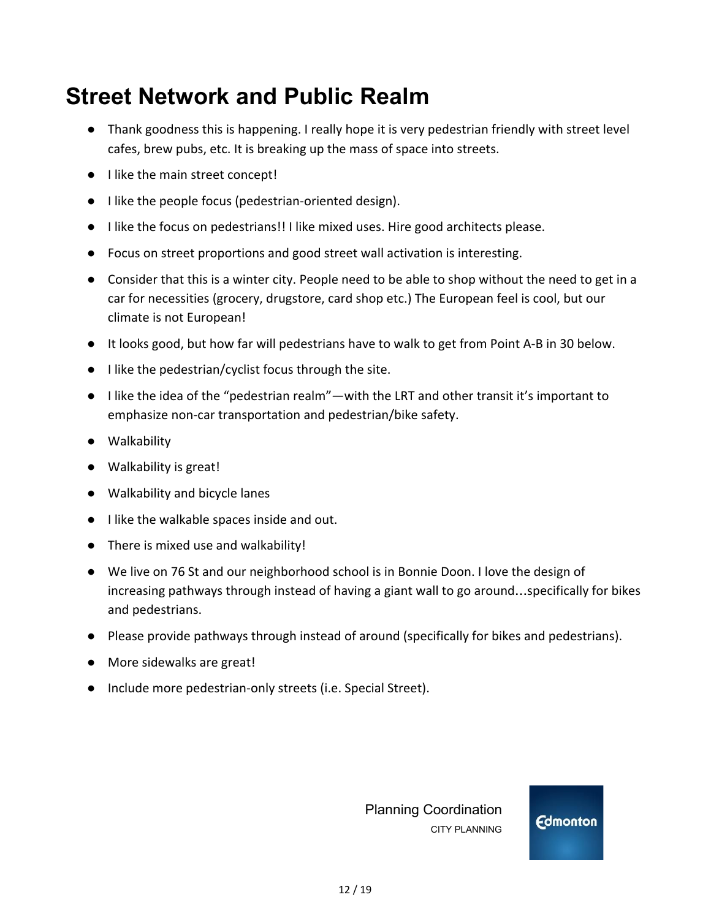## **Street Network and Public Realm**

- Thank goodness this is happening. I really hope it is very pedestrian friendly with street level cafes, brew pubs, etc. It is breaking up the mass of space into streets.
- I like the main street concept!
- I like the people focus (pedestrian-oriented design).
- I like the focus on pedestrians!! I like mixed uses. Hire good architects please.
- Focus on street proportions and good street wall activation is interesting.
- Consider that this is a winter city. People need to be able to shop without the need to get in a car for necessities (grocery, drugstore, card shop etc.) The European feel is cool, but our climate is not European!
- It looks good, but how far will pedestrians have to walk to get from Point A-B in 30 below.
- I like the pedestrian/cyclist focus through the site.
- I like the idea of the "pedestrian realm"—with the LRT and other transit it's important to emphasize non-car transportation and pedestrian/bike safety.
- Walkability
- Walkability is great!
- Walkability and bicycle lanes
- I like the walkable spaces inside and out.
- There is mixed use and walkability!
- We live on 76 St and our neighborhood school is in Bonnie Doon. I love the design of increasing pathways through instead of having a giant wall to go around…specifically for bikes and pedestrians.
- Please provide pathways through instead of around (specifically for bikes and pedestrians).
- More sidewalks are great!
- Include more pedestrian-only streets (i.e. Special Street).

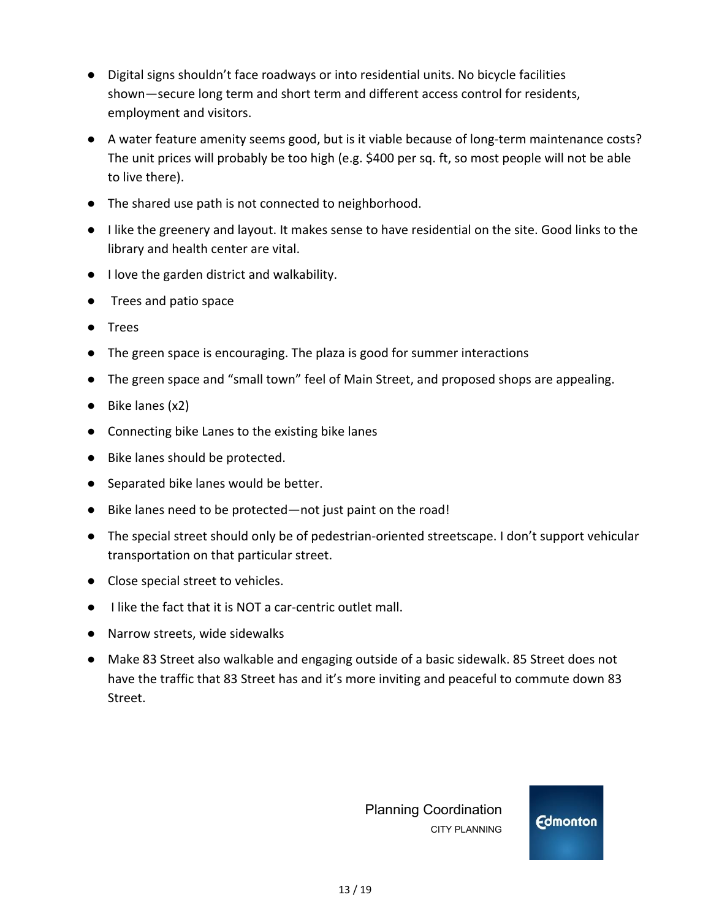- Digital signs shouldn't face roadways or into residential units. No bicycle facilities shown—secure long term and short term and different access control for residents, employment and visitors.
- A water feature amenity seems good, but is it viable because of long-term maintenance costs? The unit prices will probably be too high (e.g. \$400 per sq. ft, so most people will not be able to live there).
- The shared use path is not connected to neighborhood.
- I like the greenery and layout. It makes sense to have residential on the site. Good links to the library and health center are vital.
- I love the garden district and walkability.
- Trees and patio space
- Trees
- The green space is encouraging. The plaza is good for summer interactions
- The green space and "small town" feel of Main Street, and proposed shops are appealing.
- Bike lanes (x2)
- Connecting bike Lanes to the existing bike lanes
- Bike lanes should be protected.
- Separated bike lanes would be better.
- Bike lanes need to be protected—not just paint on the road!
- The special street should only be of pedestrian-oriented streetscape. I don't support vehicular transportation on that particular street.
- Close special street to vehicles.
- I like the fact that it is NOT a car-centric outlet mall.
- Narrow streets, wide sidewalks
- Make 83 Street also walkable and engaging outside of a basic sidewalk. 85 Street does not have the traffic that 83 Street has and it's more inviting and peaceful to commute down 83 Street.

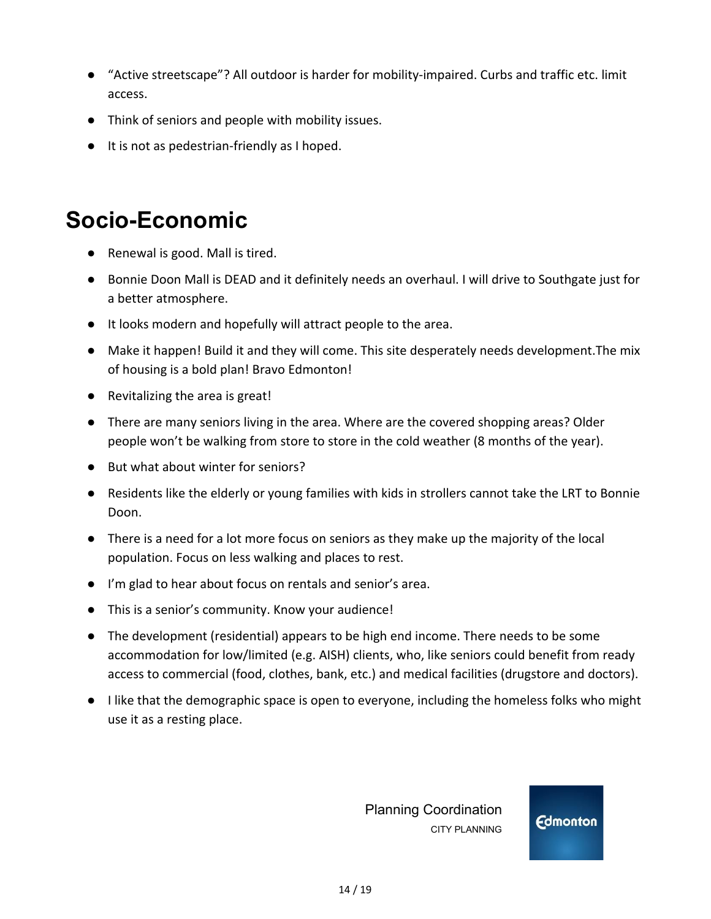- "Active streetscape"? All outdoor is harder for mobility-impaired. Curbs and traffic etc. limit access.
- **●** Think of seniors and people with mobility issues.
- **●** It is not as pedestrian-friendly as I hoped.

#### **Socio-Economic**

- Renewal is good. Mall is tired.
- Bonnie Doon Mall is DEAD and it definitely needs an overhaul. I will drive to Southgate just for a better atmosphere.
- It looks modern and hopefully will attract people to the area.
- Make it happen! Build it and they will come. This site desperately needs development.The mix of housing is a bold plan! Bravo Edmonton!
- Revitalizing the area is great!
- There are many seniors living in the area. Where are the covered shopping areas? Older people won't be walking from store to store in the cold weather (8 months of the year).
- But what about winter for seniors?
- Residents like the elderly or young families with kids in strollers cannot take the LRT to Bonnie Doon.
- There is a need for a lot more focus on seniors as they make up the majority of the local population. Focus on less walking and places to rest.
- I'm glad to hear about focus on rentals and senior's area.
- This is a senior's community. Know your audience!
- The development (residential) appears to be high end income. There needs to be some accommodation for low/limited (e.g. AISH) clients, who, like seniors could benefit from ready access to commercial (food, clothes, bank, etc.) and medical facilities (drugstore and doctors).
- **●** I like that the demographic space is open to everyone, including the homeless folks who might use it as a resting place.

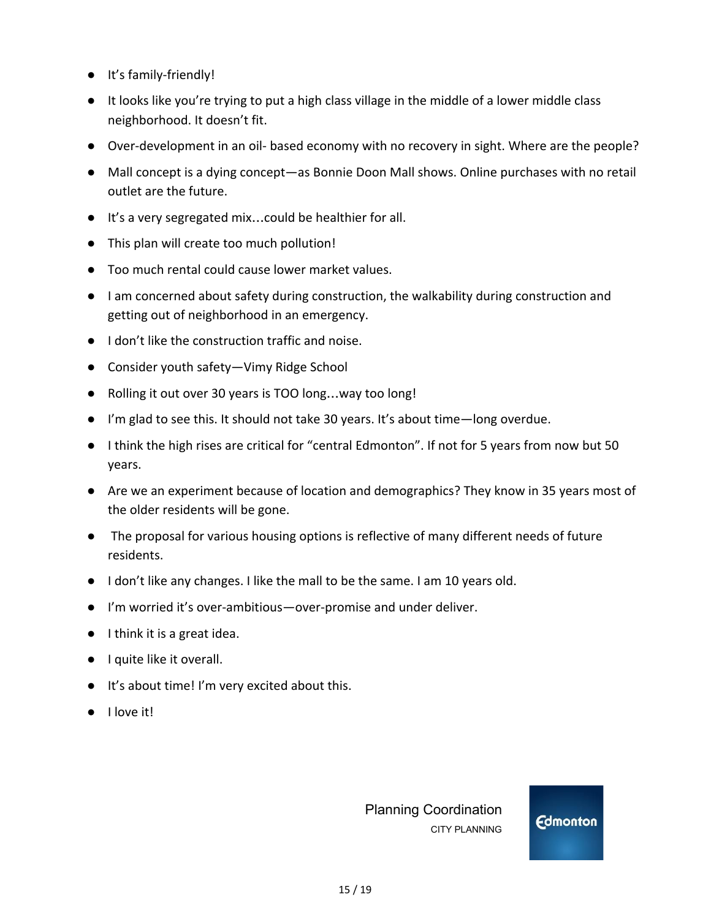- **●** It's family-friendly!
- **●** It looks like you're trying to put a high class village in the middle of a lower middle class neighborhood. It doesn't fit.
- **●** Over-development in an oil- based economy with no recovery in sight. Where are the people?
- **●** Mall concept is a dying concept—as Bonnie Doon Mall shows. Online purchases with no retail outlet are the future.
- **●** It's a very segregated mix…could be healthier for all.
- **●** This plan will create too much pollution!
- **●** Too much rental could cause lower market values.
- **●** I am concerned about safety during construction, the walkability during construction and getting out of neighborhood in an emergency.
- **●** I don't like the construction traffic and noise.
- **●** Consider youth safety—Vimy Ridge School
- **●** Rolling it out over 30 years is TOO long…way too long!
- **●** I'm glad to see this. It should not take 30 years. It's about time—long overdue.
- **●** I think the high rises are critical for "central Edmonton". If not for 5 years from now but 50 years.
- **●** Are we an experiment because of location and demographics? They know in 35 years most of the older residents will be gone.
- **●** The proposal for various housing options is reflective of many different needs of future residents.
- **●** I don't like any changes. I like the mall to be the same. I am 10 years old.
- **●** I'm worried it's over-ambitious—over-promise and under deliver.
- **●** I think it is a great idea.
- I quite like it overall.
- It's about time! I'm very excited about this.
- **●** I love it!

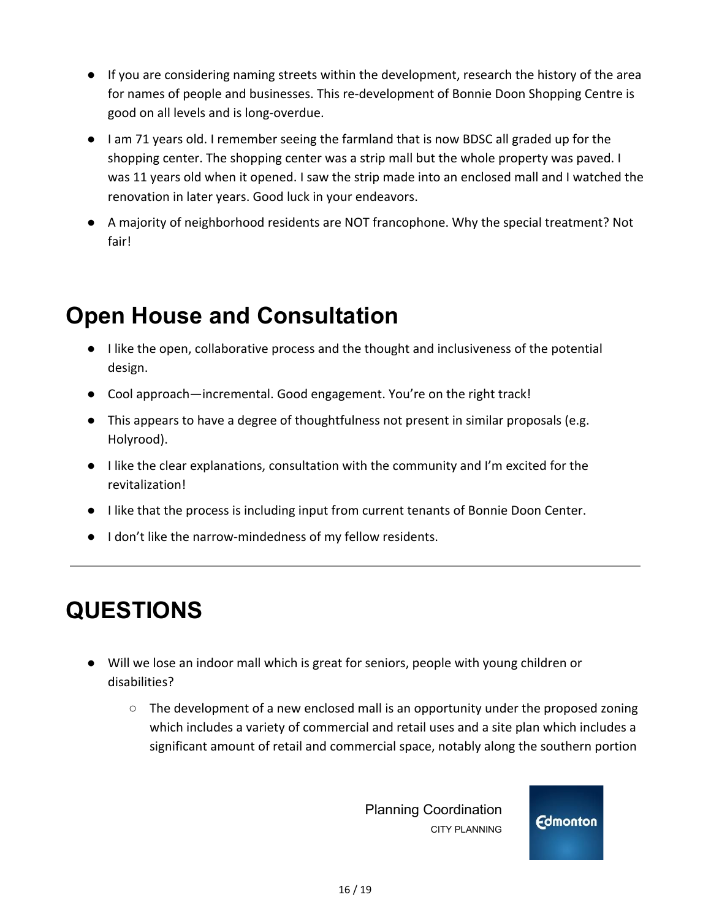- If you are considering naming streets within the development, research the history of the area for names of people and businesses. This re-development of Bonnie Doon Shopping Centre is good on all levels and is long-overdue.
- I am 71 years old. I remember seeing the farmland that is now BDSC all graded up for the shopping center. The shopping center was a strip mall but the whole property was paved. I was 11 years old when it opened. I saw the strip made into an enclosed mall and I watched the renovation in later years. Good luck in your endeavors.
- A majority of neighborhood residents are NOT francophone. Why the special treatment? Not fair!

## **Open House and Consultation**

- I like the open, collaborative process and the thought and inclusiveness of the potential design.
- Cool approach—incremental. Good engagement. You're on the right track!
- This appears to have a degree of thoughtfulness not present in similar proposals (e.g. Holyrood).
- I like the clear explanations, consultation with the community and I'm excited for the revitalization!
- I like that the process is including input from current tenants of Bonnie Doon Center.
- I don't like the narrow-mindedness of my fellow residents.

# **QUESTIONS**

- Will we lose an indoor mall which is great for seniors, people with young children or disabilities?
	- The development of a new enclosed mall is an opportunity under the proposed zoning which includes a variety of commercial and retail uses and a site plan which includes a significant amount of retail and commercial space, notably along the southern portion

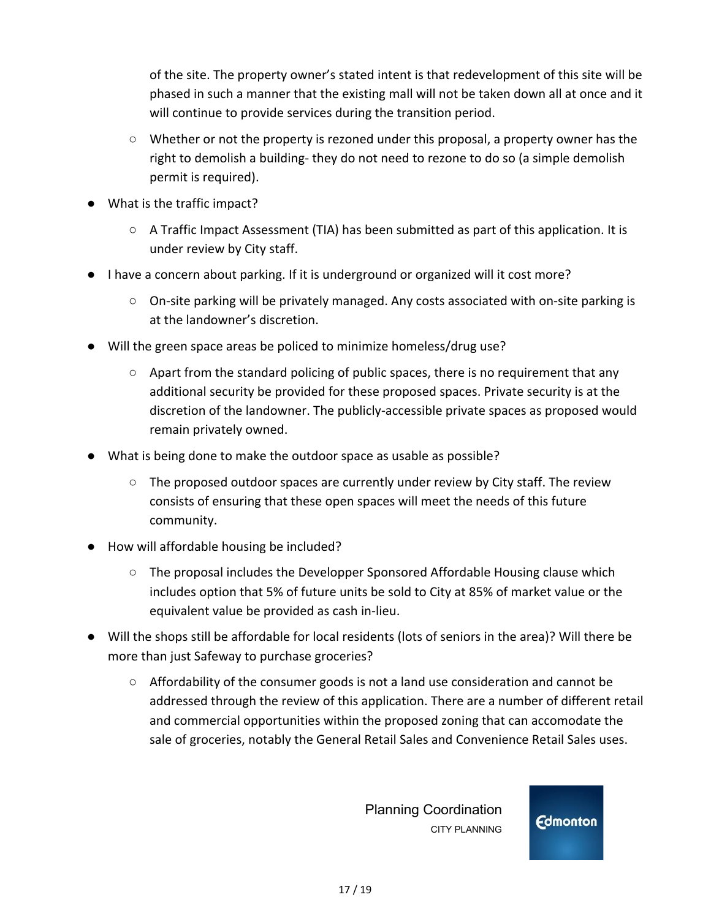of the site. The property owner's stated intent is that redevelopment of this site will be phased in such a manner that the existing mall will not be taken down all at once and it will continue to provide services during the transition period.

- Whether or not the property is rezoned under this proposal, a property owner has the right to demolish a building- they do not need to rezone to do so (a simple demolish permit is required).
- What is the traffic impact?
	- A Traffic Impact Assessment (TIA) has been submitted as part of this application. It is under review by City staff.
- I have a concern about parking. If it is underground or organized will it cost more?
	- $\circ$  On-site parking will be privately managed. Any costs associated with on-site parking is at the landowner's discretion.
- Will the green space areas be policed to minimize homeless/drug use?
	- Apart from the standard policing of public spaces, there is no requirement that any additional security be provided for these proposed spaces. Private security is at the discretion of the landowner. The publicly-accessible private spaces as proposed would remain privately owned.
- **●** What is being done to make the outdoor space as usable as possible?
	- $\circ$  The proposed outdoor spaces are currently under review by City staff. The review consists of ensuring that these open spaces will meet the needs of this future community.
- **●** How will affordable housing be included?
	- $\circ$  The proposal includes the Developper Sponsored Affordable Housing clause which includes option that 5% of future units be sold to City at 85% of market value or the equivalent value be provided as cash in-lieu.
- **●** Will the shops still be affordable for local residents (lots of seniors in the area)? Will there be more than just Safeway to purchase groceries?
	- Affordability of the consumer goods is not a land use consideration and cannot be addressed through the review of this application. There are a number of different retail and commercial opportunities within the proposed zoning that can accomodate the sale of groceries, notably the General Retail Sales and Convenience Retail Sales uses.

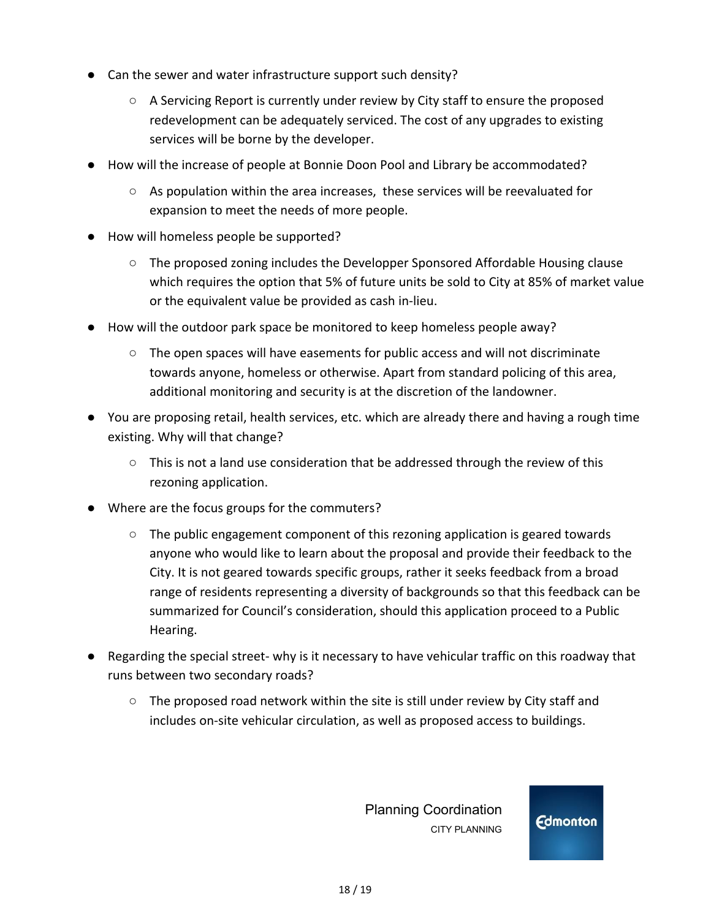- **●** Can the sewer and water infrastructure support such density?
	- $\circ$  A Servicing Report is currently under review by City staff to ensure the proposed redevelopment can be adequately serviced. The cost of any upgrades to existing services will be borne by the developer.
- **●** How will the increase of people at Bonnie Doon Pool and Library be accommodated?
	- As population within the area increases, these services will be reevaluated for expansion to meet the needs of more people.
- How will homeless people be supported?
	- $\circ$  The proposed zoning includes the Developper Sponsored Affordable Housing clause which requires the option that 5% of future units be sold to City at 85% of market value or the equivalent value be provided as cash in-lieu.
- How will the outdoor park space be monitored to keep homeless people away?
	- The open spaces will have easements for public access and will not discriminate towards anyone, homeless or otherwise. Apart from standard policing of this area, additional monitoring and security is at the discretion of the landowner.
- **●** You are proposing retail, health services, etc. which are already there and having a rough time existing. Why will that change?
	- $\circ$  This is not a land use consideration that be addressed through the review of this rezoning application.
- **●** Where are the focus groups for the commuters?
	- The public engagement component of this rezoning application is geared towards anyone who would like to learn about the proposal and provide their feedback to the City. It is not geared towards specific groups, rather it seeks feedback from a broad range of residents representing a diversity of backgrounds so that this feedback can be summarized for Council's consideration, should this application proceed to a Public Hearing.
- **●** Regarding the special street- why is it necessary to have vehicular traffic on this roadway that runs between two secondary roads?
	- The proposed road network within the site is still under review by City staff and includes on-site vehicular circulation, as well as proposed access to buildings.